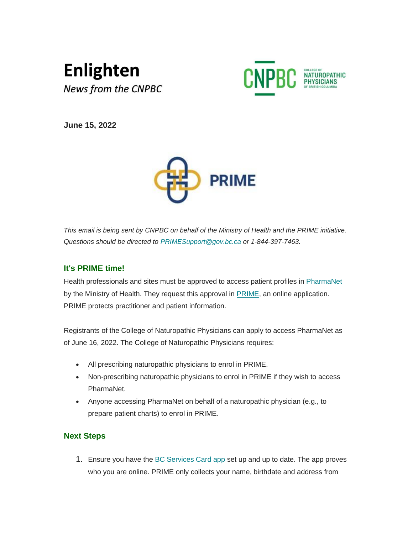# **Enlighten News from the CNPBC**



**June 15, 2022**



*This email is being sent by CNPBC on behalf of the Ministry of Health and the PRIME initiative. Questions should be directed to [PRIMESupport@gov.bc.ca](mailto:PRIMESupport@gov.bc.ca) or 1-844-397-7463.*

# **It's PRIME time!**

Health professionals and sites must be approved to access patient profiles in **[PharmaNet](https://www2.gov.bc.ca/gov/content/health/practitioner-professional-resources/pharmacare/pharmanet-bc-s-drug-information-network#pnet)** by the Ministry of Health. They request this approval in [PRIME,](https://www2.gov.bc.ca/gov/content/health/practitioner-professional-resources/pharmacare/pharmanet-bc-s-drug-information-network/prime) an online application. PRIME protects practitioner and patient information.

Registrants of the College of Naturopathic Physicians can apply to access PharmaNet as of June 16, 2022. The College of Naturopathic Physicians requires:

- All prescribing naturopathic physicians to enrol in PRIME.
- Non-prescribing naturopathic physicians to enrol in PRIME if they wish to access PharmaNet.
- Anyone accessing PharmaNet on behalf of a naturopathic physician (e.g., to prepare patient charts) to enrol in PRIME.

# **Next Steps**

1. Ensure you have the **[BC Services Card app](https://www2.gov.bc.ca/gov/content/governments/government-id/bcservicescardapp/setup/download-app)** set up and up to date. The app proves who you are online. PRIME only collects your name, birthdate and address from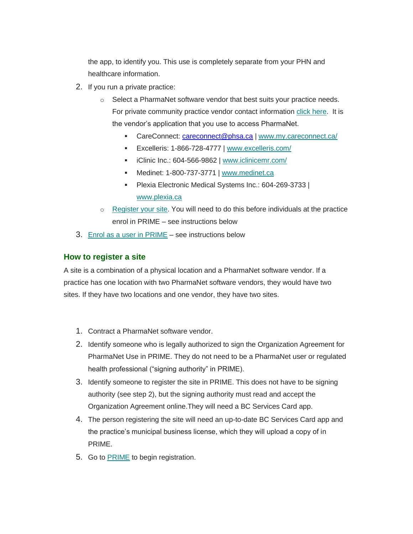the app, to identify you. This use is completely separate from your PHN and healthcare information.

- 2. If you run a private practice:
	- o Select a PharmaNet software vendor that best suits your practice needs. For private community practice vendor contact information [click here.](https://www2.gov.bc.ca/gov/content/health/practitioner-professional-resources/system-access/health-practice-access-to-pharmanet) It is the vendor's application that you use to access PharmaNet.
		- CareConnect: [careconnect@phsa.ca](mailto:careconnect@phsa.ca) | [www.my.careconnect.ca/](http://www.my.careconnect.ca/)
		- Excelleris: 1-866-728-4777 | [www.excelleris.com/](http://www.excelleris.com/)
		- iClinic Inc.: 604-566-9862 | [www.iclinicemr.com/](http://www.iclinicemr.com/)
		- Medinet: 1-800-737-3771 | [www.medinet.ca](http://www.medinet.ca/)
		- Plexia Electronic Medical Systems Inc.: 604-269-3733 | [www.plexia.ca](http://www.plexia.ca/)
	- $\circ$  [Register your site.](https://pharmanetenrolment.gov.bc.ca/site) You will need to do this before individuals at the practice enrol in PRIME – see instructions below
- 3. [Enrol as a user in PRIME](https://pharmanetenrolment.gov.bc.ca/info) see instructions below

### **How to register a site**

A site is a combination of a physical location and a PharmaNet software vendor. If a practice has one location with two PharmaNet software vendors, they would have two sites. If they have two locations and one vendor, they have two sites.

- 1. Contract a PharmaNet software vendor.
- 2. Identify someone who is legally authorized to sign the Organization Agreement for PharmaNet Use in PRIME. They do not need to be a PharmaNet user or regulated health professional ("signing authority" in PRIME).
- 3. Identify someone to register the site in PRIME. This does not have to be signing authority (see step 2), but the signing authority must read and accept the Organization Agreement online.They will need a BC Services Card app.
- 4. The person registering the site will need an up-to-date BC Services Card app and the practice's municipal business license, which they will upload a copy of in PRIME.
- 5. Go to [PRIME](https://pharmanetenrolment.gov.bc.ca/site) to begin registration.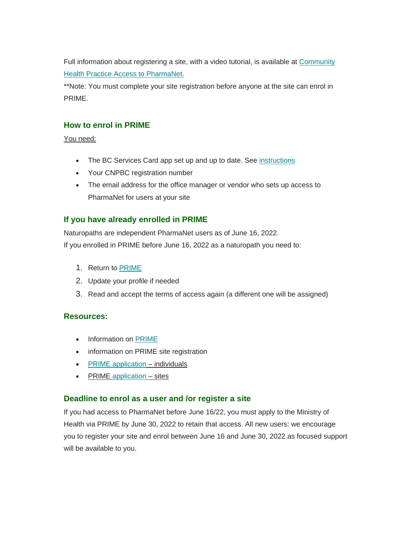Full information about registering a site, with a video tutorial, is available at Community [Health Practice Access to PharmaNet.](https://www2.gov.bc.ca/gov/content?id=F17EA71ACE8B4FA3A3A38D2CEA77C088)

\*\*Note: You must complete your site registration before anyone at the site can enrol in PRIME.

## **How to enrol in PRIME**

You need:

- The BC Services Card app set up and up to date. See [instructions](https://www2.gov.bc.ca/gov/content?id=034E906146794F84A00535A3F9354913)
- Your CNPBC registration number
- The email address for the office manager or vendor who sets up access to PharmaNet for users at your site

## **If you have already enrolled in PRIME**

Naturopaths are independent PharmaNet users as of June 16, 2022. If you enrolled in PRIME before June 16, 2022 as a naturopath you need to:

- 1. Return to [PRIME](https://www2.gov.bc.ca/gov/content/health/practitioner-professional-resources/pharmacare/pharmanet-bc-s-drug-information-network/prime/prime-dates)
- 2. Update your profile if needed
- 3. Read and accept the terms of access again (a different one will be assigned)

#### **Resources:**

- Information on [PRIME](https://www2.gov.bc.ca/gov/content/health/practitioner-professional-resources/pharmacare/pharmanet-bc-s-drug-information-network/prime)
- information on PRIME site registration
- [PRIME application](https://pharmanetenrolment.gov.bc.ca/info) individuals
- PRIME [application](https://www2.gov.bc.ca/gov/content?id=F17EA71ACE8B4FA3A3A38D2CEA77C088) sites

#### **Deadline to enrol as a user and /or register a site**

If you had access to PharmaNet before June 16/22, you must apply to the Ministry of Health via PRIME by June 30, 2022 to retain that access. All new users: we encourage you to register your site and enrol between June 16 and June 30, 2022 as focused support will be available to you.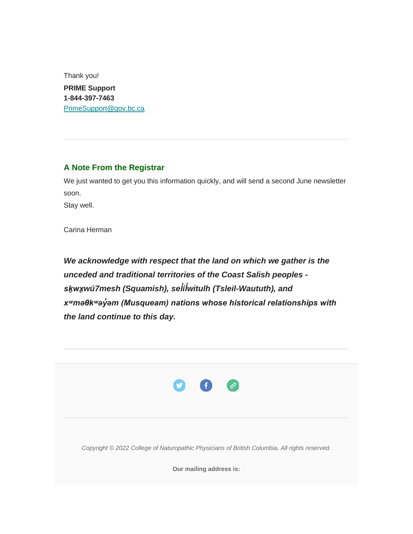Thank you! **PRIME Support 1-844-397-7463** [PrimeSupport@gov.bc.ca](mailto:PrimeSupport@gov.bc.ca)

# **A Note From the Registrar**

We just wanted to get you this information quickly, and will send a second June newsletter soon.

Stay well.

Carina Herman

*We acknowledge with respect that the land on which we gather is the unceded and traditional territories of the Coast Salish peoples sḵwx̱wú7mesh (Squamish), sel ̓ íl ̓witulh (Tsleil-Waututh), and xʷməθkʷəy̓əm (Musqueam) nations whose historical relationships with the land continue to this day.*